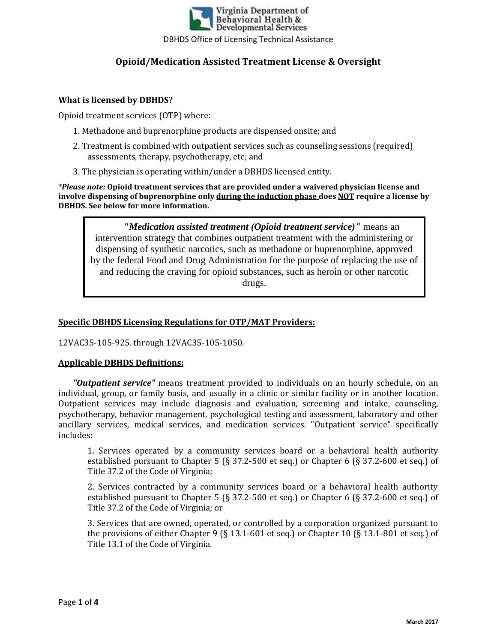

#### **What is licensed by DBHDS?**

Opioid treatment services (OTP) where:

- 1. Methadone and buprenorphine products are dispensed onsite; and
- 2. Treatment is combined with outpatient services such as counseling sessions (required) assessments, therapy, psychotherapy, etc; and
- 3. The physician is operating within/under a DBHDS licensed entity.

*\*Please note:* **Opioid treatment services that are provided under a waivered physician license and involve dispensing of buprenorphine only during the induction phase does NOT require a license by DBHDS. See below for more information.** 

*"Medication assisted treatment (Opioid treatment service)"* means an intervention strategy that combines outpatient treatment with the administering or dispensing of synthetic narcotics, such as methadone or buprenorphine, approved by the federal Food and Drug Administration for the purpose of replacing the use of and reducing the craving for opioid substances, such as heroin or other narcotic drugs.

### **Specific DBHDS Licensing Regulations for OTP/MAT Providers:**

12VAC35-105-925. through 12VAC35-105-1050.

#### **Applicable DBHDS Definitions:**

*"Outpatient service"* means treatment provided to individuals on an hourly schedule, on an individual, group, or family basis, and usually in a clinic or similar facility or in another location. Outpatient services may include diagnosis and evaluation, screening and intake, counseling, psychotherapy, behavior management, psychological testing and assessment, laboratory and other ancillary services, medical services, and medication services. "Outpatient service" specifically includes:

1. Services operated by a community services board or a behavioral health authority established pursuant to Chapter 5 (§ 37.2-500 et seq.) or Chapter 6 (§ 37.2-600 et seq.) of Title 37.2 of the Code of Virginia;

2. Services contracted by a community services board or a behavioral health authority established pursuant to Chapter 5 (§ 37.2-500 et seq.) or Chapter 6 (§ 37.2-600 et seq.) of Title 37.2 of the Code of Virginia; or

3. Services that are owned, operated, or controlled by a corporation organized pursuant to the provisions of either Chapter 9 (§ 13.1-601 et seq.) or Chapter 10 (§ 13.1-801 et seq.) of Title 13.1 of the Code of Virginia.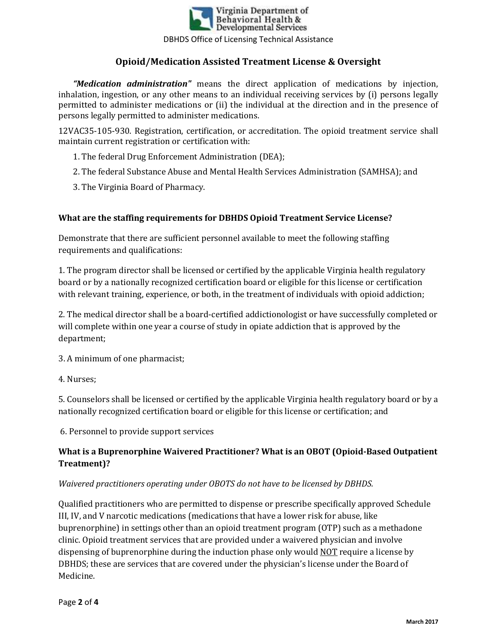

*"Medication administration"* means the direct application of medications by injection, inhalation, ingestion, or any other means to an individual receiving services by (i) persons legally permitted to administer medications or (ii) the individual at the direction and in the presence of persons legally permitted to administer medications.

12VAC35-105-930. Registration, certification, or accreditation. The opioid treatment service shall maintain current registration or certification with:

- 1. The federal Drug Enforcement Administration (DEA);
- 2. The federal Substance Abuse and Mental Health Services Administration (SAMHSA); and
- 3. The Virginia Board of Pharmacy.

### **What are the staffing requirements for DBHDS Opioid Treatment Service License?**

Demonstrate that there are sufficient personnel available to meet the following staffing requirements and qualifications:

1. The program director shall be licensed or certified by the applicable Virginia health regulatory board or by a nationally recognized certification board or eligible for this license or certification with relevant training, experience, or both, in the treatment of individuals with opioid addiction;

2. The medical director shall be a board-certified addictionologist or have successfully completed or will complete within one year a course of study in opiate addiction that is approved by the department;

3. A minimum of one pharmacist;

4. Nurses;

5. Counselors shall be licensed or certified by the applicable Virginia health regulatory board or by a nationally recognized certification board or eligible for this license or certification; and

6. Personnel to provide support services

## **What is a Buprenorphine Waivered Practitioner? What is an OBOT (Opioid-Based Outpatient Treatment)?**

### *Waivered practitioners operating under OBOTS do not have to be licensed by DBHDS.*

Qualified practitioners who are permitted to dispense or prescribe specifically approved Schedule III, IV, and V narcotic medications (medications that have a lower risk for abuse, like buprenorphine) in settings other than an opioid treatment program (OTP) such as a methadone clinic. Opioid treatment services that are provided under a waivered physician and involve dispensing of buprenorphine during the induction phase only would NOT require a license by DBHDS; these are services that are covered under the physician's license under the Board of Medicine.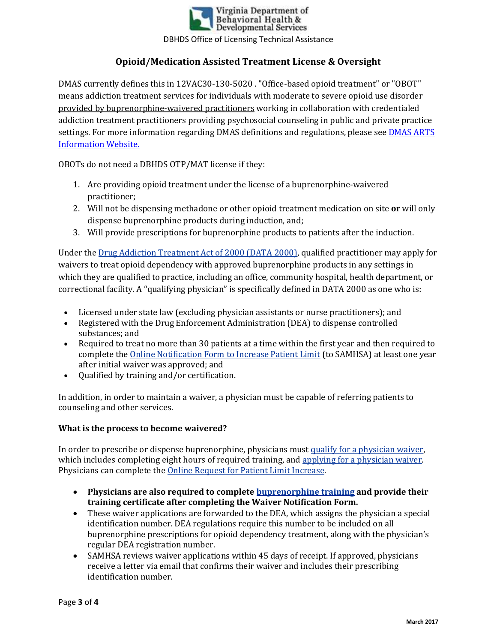

DMAS currently defines this in 12VAC30-130-5020 . "Office-based opioid treatment" or "OBOT" means addiction treatment services for individuals with moderate to severe opioid use disorder provided by buprenorphine-waivered practitioners working in collaboration with credentialed addiction treatment practitioners providing psychosocial counseling in public and private practice settings. For more information regarding DMAS definitions and regulations, please see DMAS ARTS Information Website.

OBOTs do not need a DBHDS OTP/MAT license if they:

- 1. Are providing opioid treatment under the license of a buprenorphine-waivered practitioner;
- 2. Will not be dispensing methadone or other opioid treatment medication on site **or** will only dispense buprenorphine products during induction, and;
- 3. Will provide prescriptions for buprenorphine products to patients after the induction.

Under the Drug Addiction Treatment Act of 2000 (DATA 2000), qualified practitioner may apply for waivers to treat opioid dependency with approved buprenorphine products in any settings in which they are qualified to practice, including an office, community hospital, health department, or correctional facility. A "qualifying physician" is specifically defined in DATA 2000 as one who is:

- Licensed under state law (excluding physician assistants or nurse practitioners); and
- Registered with the Drug Enforcement Administration (DEA) to dispense controlled substances; and
- Required to treat no more than 30 patients at a time within the first year and then required to complete the Online Notification Form to Increase Patient Limit (to SAMHSA) at least one year after initial waiver was approved; and
- Qualified by training and/or certification.

In addition, in order to maintain a waiver, a physician must be capable of referring patients to counseling and other services.

### **What is the process to become waivered?**

In order to prescribe or dispense buprenorphine, physicians must qualify for a physician waiver, which includes completing eight hours of required training, and applying for a physician waiver. Physicians can complete the Online Request for Patient Limit Increase.

- **Physicians are also required to complete buprenorphine training and provide their training certificate after completing the Waiver Notification Form.**
- These waiver applications are forwarded to the DEA, which assigns the physician a special identification number. DEA regulations require this number to be included on all buprenorphine prescriptions for opioid dependency treatment, along with the physician's regular DEA registration number.
- SAMHSA reviews waiver applications within 45 days of receipt. If approved, physicians receive a letter via email that confirms their waiver and includes their prescribing identification number.